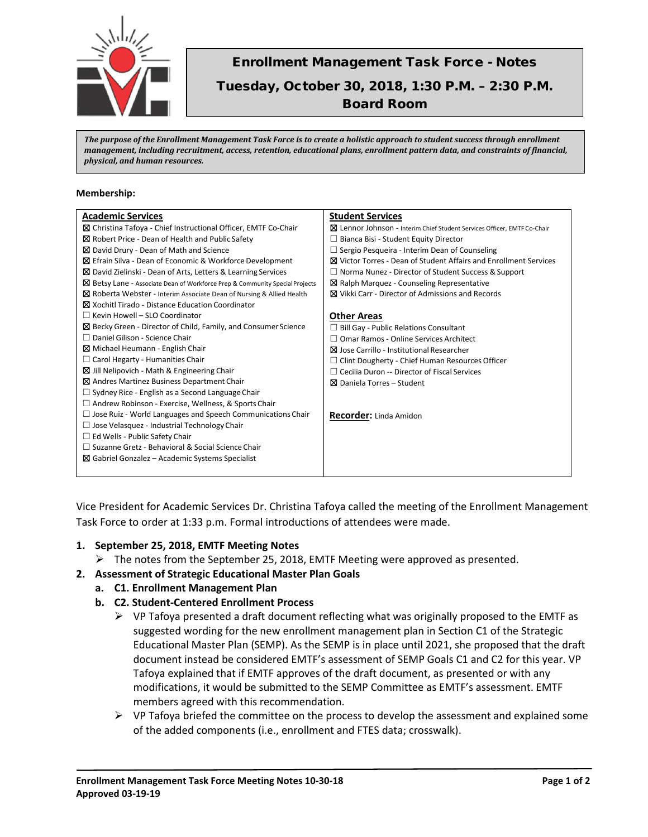

# Enrollment Management Task Force - Notes Tuesday, October 30, 2018, 1:30 P.M. – 2:30 P.M.

Board Room

*The purpose of the Enrollment Management Task Force is to create a holistic approach to student success through enrollment management, including recruitment, access, retention, educational plans, enrollment pattern data, and constraints of financial, physical, and human resources.*

#### **Membership:**

| <b>Academic Services</b>                                                     | <b>Student Services</b>                                                  |
|------------------------------------------------------------------------------|--------------------------------------------------------------------------|
| ⊠ Christina Tafoya - Chief Instructional Officer, EMTF Co-Chair              | ⊠ Lennor Johnson - Interim Chief Student Services Officer, EMTF Co-Chair |
| ⊠ Robert Price - Dean of Health and Public Safety                            | $\Box$ Bianca Bisi - Student Equity Director                             |
| ⊠ David Drury - Dean of Math and Science                                     | $\Box$ Sergio Pesqueira - Interim Dean of Counseling                     |
| ⊠ Efrain Silva - Dean of Economic & Workforce Development                    | <b>⊠</b> Victor Torres - Dean of Student Affairs and Enrollment Services |
| ⊠ David Zielinski - Dean of Arts, Letters & Learning Services                | $\Box$ Norma Nunez - Director of Student Success & Support               |
| ⊠ Betsy Lane - Associate Dean of Workforce Prep & Community Special Projects | $\boxtimes$ Ralph Marquez - Counseling Representative                    |
| ⊠ Roberta Webster - Interim Associate Dean of Nursing & Allied Health        | <b>区</b> Vikki Carr - Director of Admissions and Records                 |
| ⊠ Xochitl Tirado - Distance Education Coordinator                            |                                                                          |
| $\Box$ Kevin Howell – SLO Coordinator                                        | <b>Other Areas</b>                                                       |
| ⊠ Becky Green - Director of Child, Family, and Consumer Science              | $\Box$ Bill Gay - Public Relations Consultant                            |
| $\Box$ Daniel Gilison - Science Chair                                        | $\Box$ Omar Ramos - Online Services Architect                            |
| Michael Heumann - English Chair                                              | <b>X</b> Jose Carrillo - Institutional Researcher                        |
| $\Box$ Carol Hegarty - Humanities Chair                                      | $\Box$ Clint Dougherty - Chief Human Resources Officer                   |
| $\boxtimes$ Jill Nelipovich - Math & Engineering Chair                       | $\Box$ Cecilia Duron -- Director of Fiscal Services                      |
| ⊠ Andres Martinez Business Department Chair                                  | ⊠ Daniela Torres – Student                                               |
| $\Box$ Sydney Rice - English as a Second Language Chair                      |                                                                          |
| $\Box$ Andrew Robinson - Exercise, Wellness, & Sports Chair                  |                                                                          |
| $\Box$ Jose Ruiz - World Languages and Speech Communications Chair           | <b>Recorder:</b> Linda Amidon                                            |
| $\Box$ Jose Velasquez - Industrial Technology Chair                          |                                                                          |
| $\Box$ Ed Wells - Public Safety Chair                                        |                                                                          |
| □ Suzanne Gretz - Behavioral & Social Science Chair                          |                                                                          |
| $\boxtimes$ Gabriel Gonzalez – Academic Systems Specialist                   |                                                                          |
|                                                                              |                                                                          |

Vice President for Academic Services Dr. Christina Tafoya called the meeting of the Enrollment Management Task Force to order at 1:33 p.m. Formal introductions of attendees were made.

### **1. September 25, 2018, EMTF Meeting Notes**

 $\triangleright$  The notes from the September 25, 2018, EMTF Meeting were approved as presented.

### **2. Assessment of Strategic Educational Master Plan Goals**

- **a. C1. Enrollment Management Plan**
	- **b. C2. Student-Centered Enrollment Process**
		- $\triangleright$  VP Tafoya presented a draft document reflecting what was originally proposed to the EMTF as suggested wording for the new enrollment management plan in Section C1 of the Strategic Educational Master Plan (SEMP). As the SEMP is in place until 2021, she proposed that the draft document instead be considered EMTF's assessment of SEMP Goals C1 and C2 for this year. VP Tafoya explained that if EMTF approves of the draft document, as presented or with any modifications, it would be submitted to the SEMP Committee as EMTF's assessment. EMTF members agreed with this recommendation.
		- $\triangleright$  VP Tafoya briefed the committee on the process to develop the assessment and explained some of the added components (i.e., enrollment and FTES data; crosswalk).